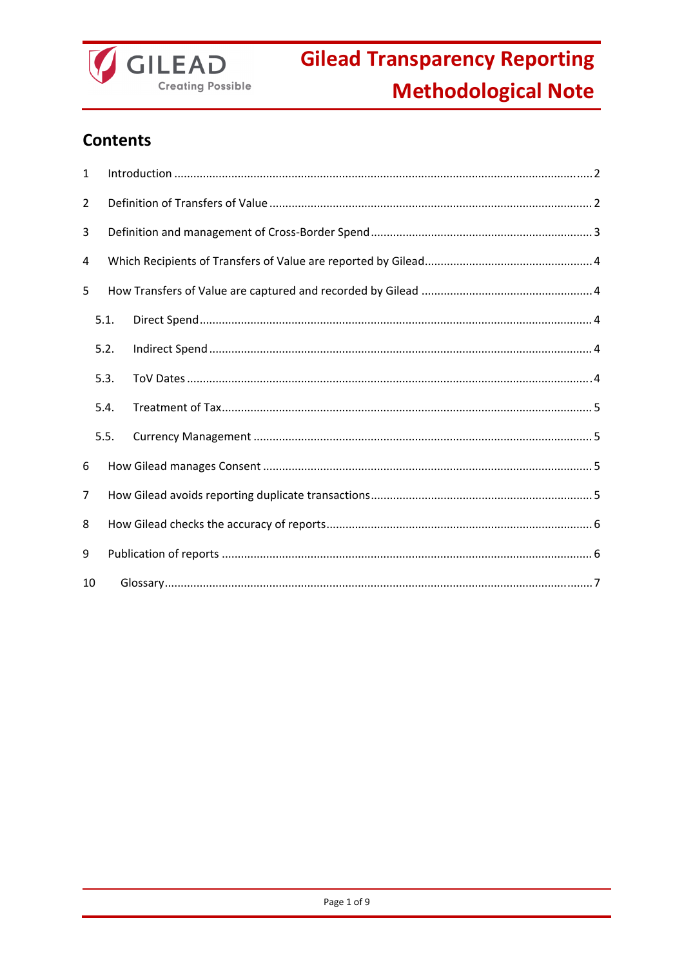

## **Contents**

| 1              |      |  |  |  |  |
|----------------|------|--|--|--|--|
| $\overline{2}$ |      |  |  |  |  |
| 3              |      |  |  |  |  |
| 4              |      |  |  |  |  |
| 5              |      |  |  |  |  |
|                | 5.1. |  |  |  |  |
|                | 5.2. |  |  |  |  |
|                | 5.3. |  |  |  |  |
|                | 5.4. |  |  |  |  |
|                | 5.5. |  |  |  |  |
| 6              |      |  |  |  |  |
| 7              |      |  |  |  |  |
| 8              |      |  |  |  |  |
| 9              |      |  |  |  |  |
| 10             |      |  |  |  |  |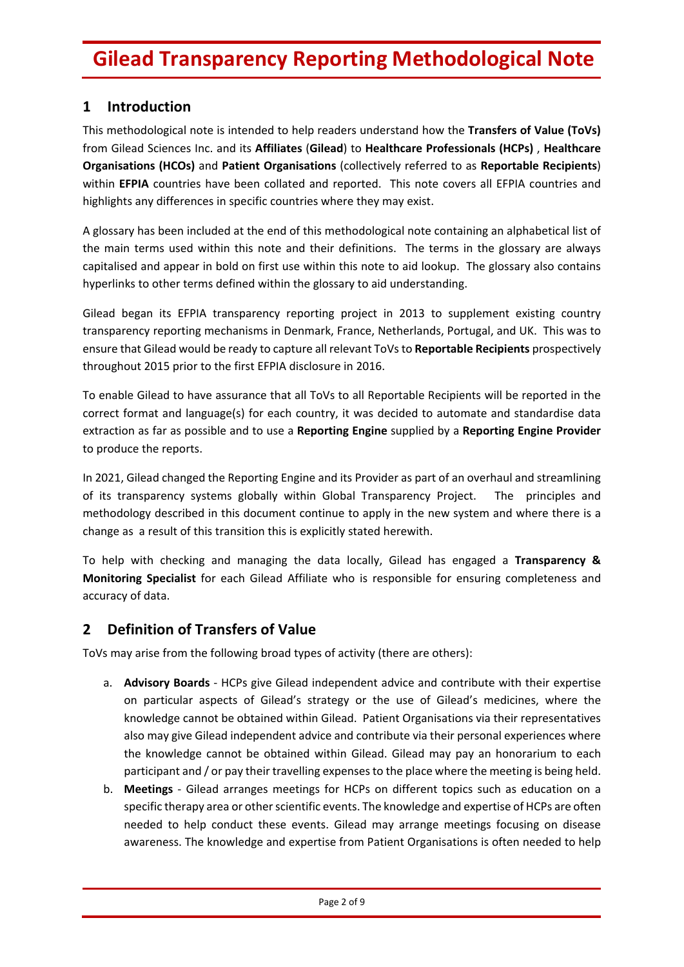## **1 Introduction**

This methodological note is intended to help readers understand how the **Transfers of Value (ToVs)** from Gilead Sciences Inc. and its **Affiliates** (**Gilead**) to **Healthcare Professionals (HCPs)** , **Healthcare Organisations (HCOs)** and **Patient Organisations** (collectively referred to as **Reportable Recipients**) within **EFPIA** countries have been collated and reported. This note covers all EFPIA countries and highlights any differences in specific countries where they may exist.

A glossary has been included at the end of this methodological note containing an alphabetical list of the main terms used within this note and their definitions. The terms in the glossary are always capitalised and appear in bold on first use within this note to aid lookup. The glossary also contains hyperlinks to other terms defined within the glossary to aid understanding.

Gilead began its EFPIA transparency reporting project in 2013 to supplement existing country transparency reporting mechanisms in Denmark, France, Netherlands, Portugal, and UK. This was to ensure that Gilead would be ready to capture all relevant ToVsto **Reportable Recipients** prospectively throughout 2015 prior to the first EFPIA disclosure in 2016.

To enable Gilead to have assurance that all ToVs to all Reportable Recipients will be reported in the correct format and language(s) for each country, it was decided to automate and standardise data extraction as far as possible and to use a **Reporting Engine** supplied by a **Reporting Engine Provider** to produce the reports.

In 2021, Gilead changed the Reporting Engine and its Provider as part of an overhaul and streamlining of its transparency systems globally within Global Transparency Project. The principles and methodology described in this document continue to apply in the new system and where there is a change as a result of this transition this is explicitly stated herewith.

To help with checking and managing the data locally, Gilead has engaged a **Transparency & Monitoring Specialist** for each Gilead Affiliate who is responsible for ensuring completeness and accuracy of data.

## **2 Definition of Transfers of Value**

ToVs may arise from the following broad types of activity (there are others):

- a. **Advisory Boards** ‐ HCPs give Gilead independent advice and contribute with their expertise on particular aspects of Gilead's strategy or the use of Gilead's medicines, where the knowledge cannot be obtained within Gilead. Patient Organisations via their representatives also may give Gilead independent advice and contribute via their personal experiences where the knowledge cannot be obtained within Gilead. Gilead may pay an honorarium to each participant and / or pay their travelling expensesto the place where the meeting is being held.
- b. **Meetings** ‐ Gilead arranges meetings for HCPs on different topics such as education on a specific therapy area or other scientific events. The knowledge and expertise of HCPs are often needed to help conduct these events. Gilead may arrange meetings focusing on disease awareness. The knowledge and expertise from Patient Organisations is often needed to help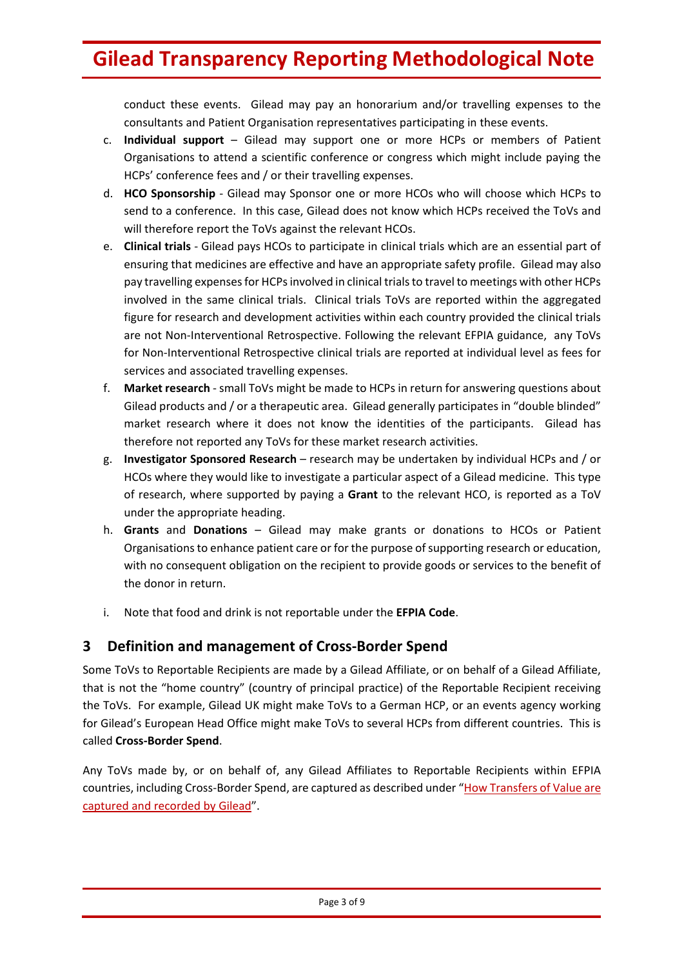conduct these events. Gilead may pay an honorarium and/or travelling expenses to the consultants and Patient Organisation representatives participating in these events.

- c. **Individual support** Gilead may support one or more HCPs or members of Patient Organisations to attend a scientific conference or congress which might include paying the HCPs' conference fees and / or their travelling expenses.
- d. **HCO Sponsorship** ‐ Gilead may Sponsor one or more HCOs who will choose which HCPs to send to a conference. In this case, Gilead does not know which HCPs received the ToVs and will therefore report the ToVs against the relevant HCOs.
- e. **Clinical trials** ‐ Gilead pays HCOs to participate in clinical trials which are an essential part of ensuring that medicines are effective and have an appropriate safety profile. Gilead may also pay travelling expenses for HCPs involved in clinical trials to travel to meetings with other HCPs involved in the same clinical trials. Clinical trials ToVs are reported within the aggregated figure for research and development activities within each country provided the clinical trials are not Non-Interventional Retrospective. Following the relevant EFPIA guidance, any ToVs for Non‐Interventional Retrospective clinical trials are reported at individual level as fees for services and associated travelling expenses.
- f. **Market research** ‐ small ToVs might be made to HCPs in return for answering questions about Gilead products and / or a therapeutic area. Gilead generally participates in "double blinded" market research where it does not know the identities of the participants. Gilead has therefore not reported any ToVs for these market research activities.
- g. **Investigator Sponsored Research** research may be undertaken by individual HCPs and / or HCOs where they would like to investigate a particular aspect of a Gilead medicine. This type of research, where supported by paying a **Grant** to the relevant HCO, is reported as a ToV under the appropriate heading.
- h. **Grants** and **Donations** Gilead may make grants or donations to HCOs or Patient Organisations to enhance patient care or for the purpose of supporting research or education, with no consequent obligation on the recipient to provide goods or services to the benefit of the donor in return.
- i. Note that food and drink is not reportable under the **EFPIA Code**.

## **3 Definition and management of Cross‐Border Spend**

Some ToVs to Reportable Recipients are made by a Gilead Affiliate, or on behalf of a Gilead Affiliate, that is not the "home country" (country of principal practice) of the Reportable Recipient receiving the ToVs. For example, Gilead UK might make ToVs to a German HCP, or an events agency working for Gilead's European Head Office might make ToVs to several HCPs from different countries. This is called **Cross‐Border Spend**.

Any ToVs made by, or on behalf of, any Gilead Affiliates to Reportable Recipients within EFPIA countries, including Cross-Border Spend, are captured as described under "How Transfers of Value are captured and recorded by Gilead".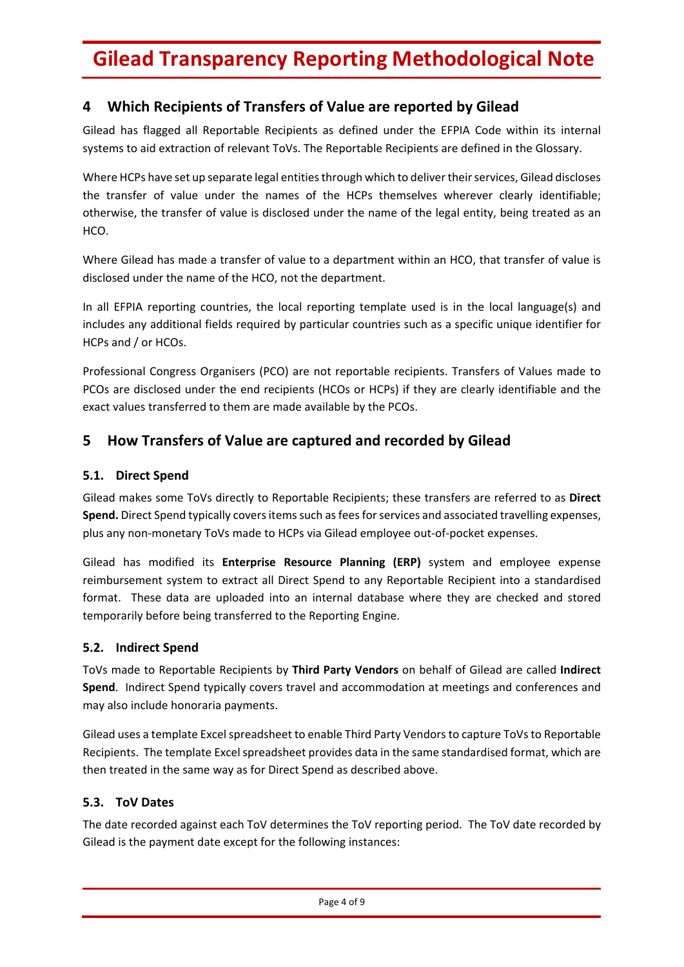## **4 Which Recipients of Transfers of Value are reported by Gilead**

Gilead has flagged all Reportable Recipients as defined under the EFPIA Code within its internal systems to aid extraction of relevant ToVs. The Reportable Recipients are defined in the Glossary.

Where HCPs have set up separate legal entities through which to deliver their services, Gilead discloses the transfer of value under the names of the HCPs themselves wherever clearly identifiable; otherwise, the transfer of value is disclosed under the name of the legal entity, being treated as an HCO.

Where Gilead has made a transfer of value to a department within an HCO, that transfer of value is disclosed under the name of the HCO, not the department.

In all EFPIA reporting countries, the local reporting template used is in the local language(s) and includes any additional fields required by particular countries such as a specific unique identifier for HCPs and / or HCOs.

Professional Congress Organisers (PCO) are not reportable recipients. Transfers of Values made to PCOs are disclosed under the end recipients (HCOs or HCPs) if they are clearly identifiable and the exact values transferred to them are made available by the PCOs.

## **5 How Transfers of Value are captured and recorded by Gilead**

#### **5.1. Direct Spend**

Gilead makes some ToVs directly to Reportable Recipients; these transfers are referred to as **Direct Spend.** Direct Spend typically covers items such as fees for services and associated travelling expenses, plus any non‐monetary ToVs made to HCPs via Gilead employee out‐of‐pocket expenses.

Gilead has modified its **Enterprise Resource Planning (ERP)** system and employee expense reimbursement system to extract all Direct Spend to any Reportable Recipient into a standardised format. These data are uploaded into an internal database where they are checked and stored temporarily before being transferred to the Reporting Engine.

#### **5.2. Indirect Spend**

ToVs made to Reportable Recipients by **Third Party Vendors** on behalf of Gilead are called **Indirect Spend**. Indirect Spend typically covers travel and accommodation at meetings and conferences and may also include honoraria payments.

Gilead uses a template Excel spreadsheet to enable Third Party Vendors to capture ToVs to Reportable Recipients. The template Excel spreadsheet provides data in the same standardised format, which are then treated in the same way as for Direct Spend as described above.

#### **5.3. ToV Dates**

The date recorded against each ToV determines the ToV reporting period. The ToV date recorded by Gilead is the payment date except for the following instances: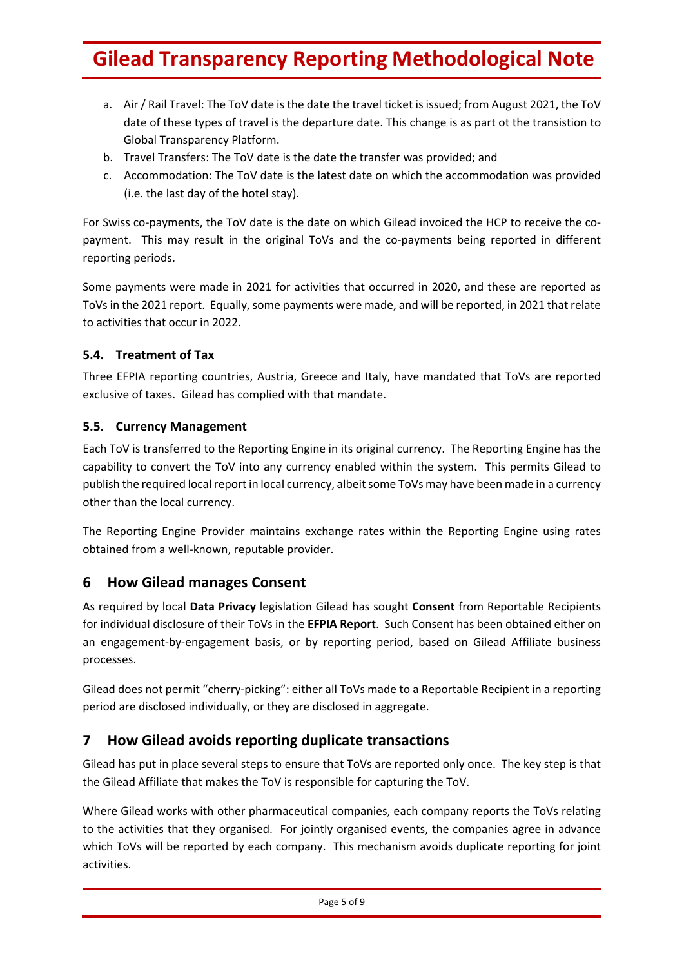- a. Air / Rail Travel: The ToV date is the date the travel ticket is issued; from August 2021, the ToV date of these types of travel is the departure date. This change is as part ot the transistion to Global Transparency Platform.
- b. Travel Transfers: The ToV date is the date the transfer was provided; and
- c. Accommodation: The ToV date is the latest date on which the accommodation was provided (i.e. the last day of the hotel stay).

For Swiss co-payments, the ToV date is the date on which Gilead invoiced the HCP to receive the copayment. This may result in the original ToVs and the co-payments being reported in different reporting periods.

Some payments were made in 2021 for activities that occurred in 2020, and these are reported as ToVs in the 2021 report. Equally, some payments were made, and will be reported, in 2021 that relate to activities that occur in 2022.

#### **5.4. Treatment of Tax**

Three EFPIA reporting countries, Austria, Greece and Italy, have mandated that ToVs are reported exclusive of taxes. Gilead has complied with that mandate.

#### **5.5. Currency Management**

Each ToV is transferred to the Reporting Engine in its original currency. The Reporting Engine has the capability to convert the ToV into any currency enabled within the system. This permits Gilead to publish the required local report in local currency, albeitsome ToVs may have been made in a currency other than the local currency.

The Reporting Engine Provider maintains exchange rates within the Reporting Engine using rates obtained from a well‐known, reputable provider.

## **6 How Gilead manages Consent**

As required by local **Data Privacy** legislation Gilead has sought **Consent** from Reportable Recipients for individual disclosure of their ToVs in the **EFPIA Report**. Such Consent has been obtained either on an engagement‐by‐engagement basis, or by reporting period, based on Gilead Affiliate business processes.

Gilead does not permit "cherry‐picking": either all ToVs made to a Reportable Recipient in a reporting period are disclosed individually, or they are disclosed in aggregate.

## **7 How Gilead avoids reporting duplicate transactions**

Gilead has put in place several steps to ensure that ToVs are reported only once. The key step is that the Gilead Affiliate that makes the ToV is responsible for capturing the ToV.

Where Gilead works with other pharmaceutical companies, each company reports the ToVs relating to the activities that they organised. For jointly organised events, the companies agree in advance which ToVs will be reported by each company. This mechanism avoids duplicate reporting for joint activities.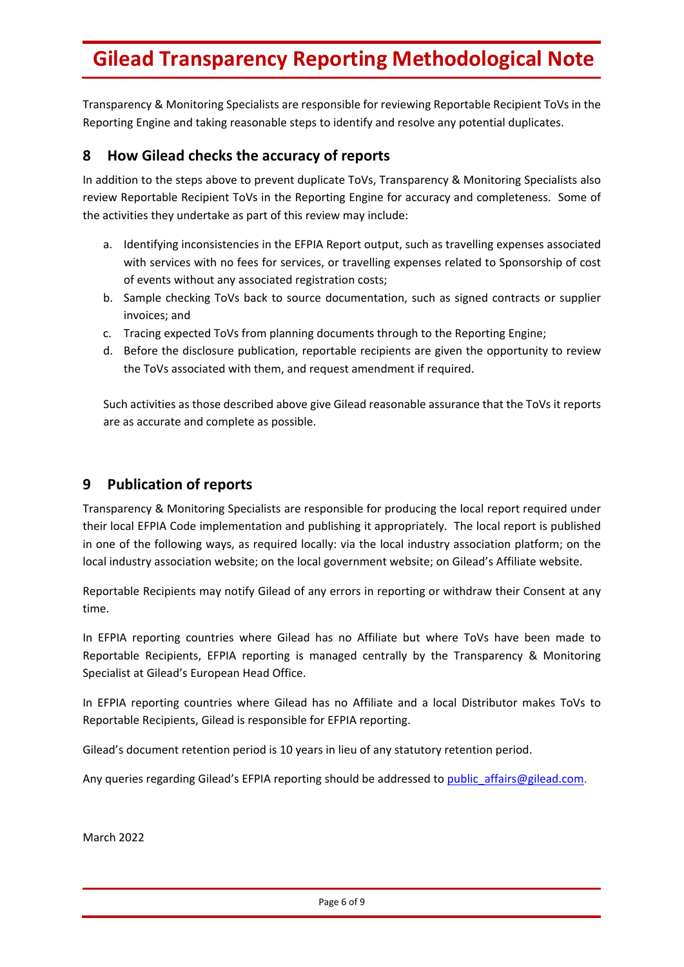Transparency & Monitoring Specialists are responsible for reviewing Reportable Recipient ToVs in the Reporting Engine and taking reasonable steps to identify and resolve any potential duplicates.

### **8 How Gilead checks the accuracy of reports**

In addition to the steps above to prevent duplicate ToVs, Transparency & Monitoring Specialists also review Reportable Recipient ToVs in the Reporting Engine for accuracy and completeness. Some of the activities they undertake as part of this review may include:

- a. Identifying inconsistencies in the EFPIA Report output, such as travelling expenses associated with services with no fees for services, or travelling expenses related to Sponsorship of cost of events without any associated registration costs;
- b. Sample checking ToVs back to source documentation, such as signed contracts or supplier invoices; and
- c. Tracing expected ToVs from planning documents through to the Reporting Engine;
- d. Before the disclosure publication, reportable recipients are given the opportunity to review the ToVs associated with them, and request amendment if required.

Such activities as those described above give Gilead reasonable assurance that the ToVs it reports are as accurate and complete as possible.

## **9 Publication of reports**

Transparency & Monitoring Specialists are responsible for producing the local report required under their local EFPIA Code implementation and publishing it appropriately. The local report is published in one of the following ways, as required locally: via the local industry association platform; on the local industry association website; on the local government website; on Gilead's Affiliate website.

Reportable Recipients may notify Gilead of any errors in reporting or withdraw their Consent at any time.

In EFPIA reporting countries where Gilead has no Affiliate but where ToVs have been made to Reportable Recipients, EFPIA reporting is managed centrally by the Transparency & Monitoring Specialist at Gilead's European Head Office.

In EFPIA reporting countries where Gilead has no Affiliate and a local Distributor makes ToVs to Reportable Recipients, Gilead is responsible for EFPIA reporting.

Gilead's document retention period is 10 years in lieu of any statutory retention period.

Any queries regarding Gilead's EFPIA reporting should be addressed to public affairs@gilead.com.

March 2022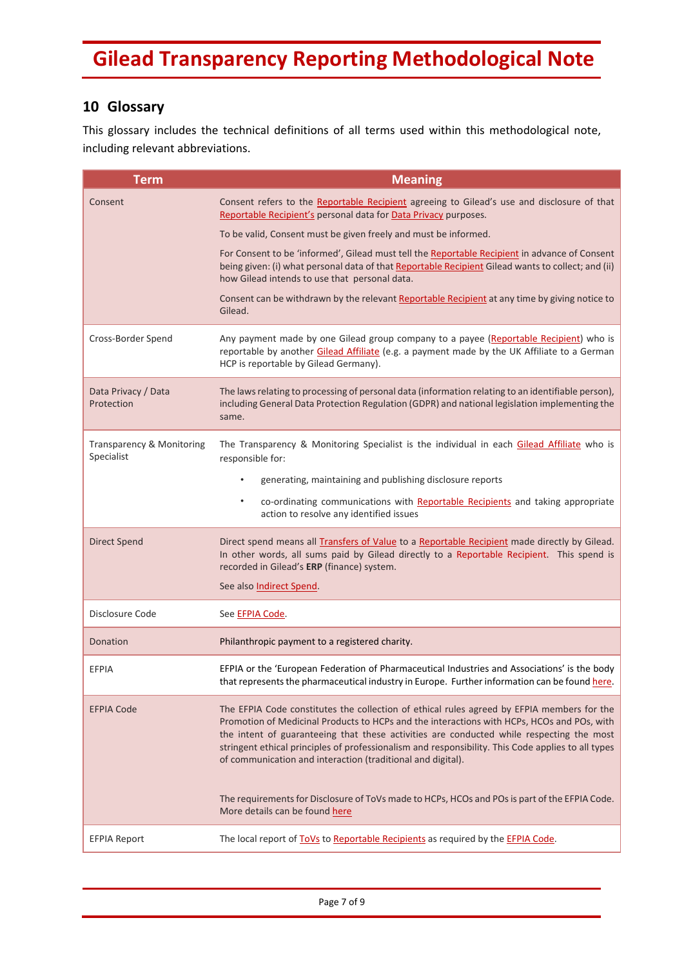## **10 Glossary**

This glossary includes the technical definitions of all terms used within this methodological note, including relevant abbreviations.

| <b>Term</b>                             | <b>Meaning</b>                                                                                                                                                                                                                                                                                                                                                                                                                                            |
|-----------------------------------------|-----------------------------------------------------------------------------------------------------------------------------------------------------------------------------------------------------------------------------------------------------------------------------------------------------------------------------------------------------------------------------------------------------------------------------------------------------------|
| Consent                                 | Consent refers to the Reportable Recipient agreeing to Gilead's use and disclosure of that<br>Reportable Recipient's personal data for Data Privacy purposes.                                                                                                                                                                                                                                                                                             |
|                                         | To be valid, Consent must be given freely and must be informed.                                                                                                                                                                                                                                                                                                                                                                                           |
|                                         | For Consent to be 'informed', Gilead must tell the Reportable Recipient in advance of Consent<br>being given: (i) what personal data of that Reportable Recipient Gilead wants to collect; and (ii)<br>how Gilead intends to use that personal data.                                                                                                                                                                                                      |
|                                         | Consent can be withdrawn by the relevant Reportable Recipient at any time by giving notice to<br>Gilead.                                                                                                                                                                                                                                                                                                                                                  |
| Cross-Border Spend                      | Any payment made by one Gilead group company to a payee (Reportable Recipient) who is<br>reportable by another Gilead Affiliate (e.g. a payment made by the UK Affiliate to a German<br>HCP is reportable by Gilead Germany).                                                                                                                                                                                                                             |
| Data Privacy / Data<br>Protection       | The laws relating to processing of personal data (information relating to an identifiable person),<br>including General Data Protection Regulation (GDPR) and national legislation implementing the<br>same.                                                                                                                                                                                                                                              |
| Transparency & Monitoring<br>Specialist | The Transparency & Monitoring Specialist is the individual in each Gilead Affiliate who is<br>responsible for:                                                                                                                                                                                                                                                                                                                                            |
|                                         | generating, maintaining and publishing disclosure reports<br>$\bullet$                                                                                                                                                                                                                                                                                                                                                                                    |
|                                         | co-ordinating communications with Reportable Recipients and taking appropriate<br>$\bullet$<br>action to resolve any identified issues                                                                                                                                                                                                                                                                                                                    |
| <b>Direct Spend</b>                     | Direct spend means all <b>Transfers of Value</b> to a Reportable Recipient made directly by Gilead.<br>In other words, all sums paid by Gilead directly to a Reportable Recipient. This spend is<br>recorded in Gilead's ERP (finance) system.                                                                                                                                                                                                            |
|                                         | See also Indirect Spend.                                                                                                                                                                                                                                                                                                                                                                                                                                  |
| Disclosure Code                         | See EFPIA Code.                                                                                                                                                                                                                                                                                                                                                                                                                                           |
| Donation                                | Philanthropic payment to a registered charity.                                                                                                                                                                                                                                                                                                                                                                                                            |
| EFPIA                                   | EFPIA or the 'European Federation of Pharmaceutical Industries and Associations' is the body<br>that represents the pharmaceutical industry in Europe. Further information can be found here.                                                                                                                                                                                                                                                             |
| <b>EFPIA Code</b>                       | The EFPIA Code constitutes the collection of ethical rules agreed by EFPIA members for the<br>Promotion of Medicinal Products to HCPs and the interactions with HCPs, HCOs and POs, with<br>the intent of guaranteeing that these activities are conducted while respecting the most<br>stringent ethical principles of professionalism and responsibility. This Code applies to all types<br>of communication and interaction (traditional and digital). |
|                                         | The requirements for Disclosure of ToVs made to HCPs, HCOs and POs is part of the EFPIA Code.<br>More details can be found here                                                                                                                                                                                                                                                                                                                           |
| <b>EFPIA Report</b>                     | The local report of ToVs to Reportable Recipients as required by the EFPIA Code.                                                                                                                                                                                                                                                                                                                                                                          |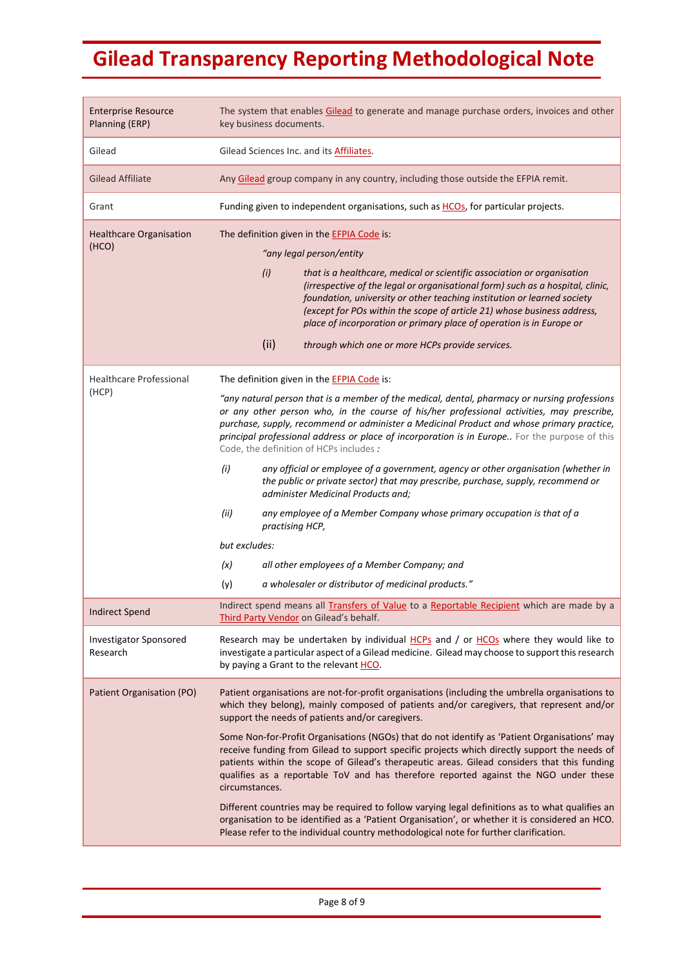| <b>Enterprise Resource</b><br>Planning (ERP) | The system that enables Gilead to generate and manage purchase orders, invoices and other<br>key business documents.                                                                                                                                                                                                                                                                                                               |
|----------------------------------------------|------------------------------------------------------------------------------------------------------------------------------------------------------------------------------------------------------------------------------------------------------------------------------------------------------------------------------------------------------------------------------------------------------------------------------------|
| Gilead                                       | Gilead Sciences Inc. and its <b>Affiliates</b> .                                                                                                                                                                                                                                                                                                                                                                                   |
| <b>Gilead Affiliate</b>                      | Any Gilead group company in any country, including those outside the EFPIA remit.                                                                                                                                                                                                                                                                                                                                                  |
| Grant                                        | Funding given to independent organisations, such as HCOs, for particular projects.                                                                                                                                                                                                                                                                                                                                                 |
| <b>Healthcare Organisation</b>               | The definition given in the EFPIA Code is:                                                                                                                                                                                                                                                                                                                                                                                         |
| (HCO)                                        | "any legal person/entity                                                                                                                                                                                                                                                                                                                                                                                                           |
|                                              | (i)<br>that is a healthcare, medical or scientific association or organisation<br>(irrespective of the legal or organisational form) such as a hospital, clinic,<br>foundation, university or other teaching institution or learned society<br>(except for POs within the scope of article 21) whose business address,<br>place of incorporation or primary place of operation is in Europe or                                     |
|                                              | (ii)<br>through which one or more HCPs provide services.                                                                                                                                                                                                                                                                                                                                                                           |
| <b>Healthcare Professional</b>               | The definition given in the <b>EFPIA Code</b> is:                                                                                                                                                                                                                                                                                                                                                                                  |
| (HCP)                                        | "any natural person that is a member of the medical, dental, pharmacy or nursing professions<br>or any other person who, in the course of his/her professional activities, may prescribe,<br>purchase, supply, recommend or administer a Medicinal Product and whose primary practice,<br>principal professional address or place of incorporation is in Europe For the purpose of this<br>Code, the definition of HCPs includes : |
|                                              | (i)<br>any official or employee of a government, agency or other organisation (whether in<br>the public or private sector) that may prescribe, purchase, supply, recommend or<br>administer Medicinal Products and;                                                                                                                                                                                                                |
|                                              | (ii)<br>any employee of a Member Company whose primary occupation is that of a<br>practising HCP,                                                                                                                                                                                                                                                                                                                                  |
|                                              | but excludes:                                                                                                                                                                                                                                                                                                                                                                                                                      |
|                                              | (x)<br>all other employees of a Member Company; and                                                                                                                                                                                                                                                                                                                                                                                |
|                                              | a wholesaler or distributor of medicinal products."<br>(y)                                                                                                                                                                                                                                                                                                                                                                         |
| <b>Indirect Spend</b>                        | Indirect spend means all Transfers of Value to a Reportable Recipient which are made by a<br>Third Party Vendor on Gilead's behalf.                                                                                                                                                                                                                                                                                                |
| <b>Investigator Sponsored</b><br>Research    | Research may be undertaken by individual HCPs and / or HCOs where they would like to<br>investigate a particular aspect of a Gilead medicine. Gilead may choose to support this research<br>by paying a Grant to the relevant HCO.                                                                                                                                                                                                 |
| Patient Organisation (PO)                    | Patient organisations are not-for-profit organisations (including the umbrella organisations to<br>which they belong), mainly composed of patients and/or caregivers, that represent and/or<br>support the needs of patients and/or caregivers.                                                                                                                                                                                    |
|                                              | Some Non-for-Profit Organisations (NGOs) that do not identify as 'Patient Organisations' may<br>receive funding from Gilead to support specific projects which directly support the needs of<br>patients within the scope of Gilead's therapeutic areas. Gilead considers that this funding<br>qualifies as a reportable ToV and has therefore reported against the NGO under these<br>circumstances.                              |
|                                              | Different countries may be required to follow varying legal definitions as to what qualifies an<br>organisation to be identified as a 'Patient Organisation', or whether it is considered an HCO.<br>Please refer to the individual country methodological note for further clarification.                                                                                                                                         |